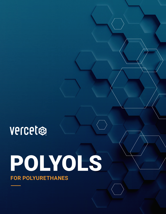

# POLYOLS **FOR POLYURETHANES**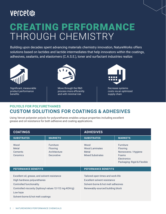## vercet CREATING PERFORMANCE THROUGH CHEMISTRY

Building upon decades spent advancing materials chemistry innovation, NatureWorks offers solutions based on lactides and lactide intermediates that help innovators within the coatings, adhesives, sealants, and elastomers (C.A.S.E.), toner and surfactant industries realize:



Significant, measurable product performance benefits



Move through the R&D process more efficiently and with minimal risk



Decrease systems costs via an optimized supply chain

#### **POLYOLS FOR POLYURETHANES CUSTOM SOLUTIONS FOR COATINGS & ADHESIVES**

Using Vercet polyester polyols for polyurethanes enables unique properties including excellent grease and oil resistance for both adhesive and coating applications.

| <b>COATINGS</b>                                                                                                                                                                                                     |                                                                   | <b>ADHESIVES</b>                                                                                                                            |                                                                                                                   |  |  |
|---------------------------------------------------------------------------------------------------------------------------------------------------------------------------------------------------------------------|-------------------------------------------------------------------|---------------------------------------------------------------------------------------------------------------------------------------------|-------------------------------------------------------------------------------------------------------------------|--|--|
| <b>SUBSTRATES</b>                                                                                                                                                                                                   | <b>MARKETS</b>                                                    | <b>SUBSTRATES</b>                                                                                                                           | <b>MARKETS</b>                                                                                                    |  |  |
| Wood<br>Metal<br><b>Cements</b><br>Ceramics                                                                                                                                                                         | <b>Furniture</b><br><b>Flooring</b><br>Architecture<br>Decorative | Wood<br><b>Wood Laminates</b><br>Metal<br><b>Mixed Substrates</b>                                                                           | <b>Furniture</b><br><b>Flooring</b><br>Nonwovens / Hygiene<br>Foams<br>Electronics<br>Packaging: Rigid & Flexible |  |  |
| <b>PEFORMANCE BENEFITS</b>                                                                                                                                                                                          |                                                                   | <b>PEFORMANCE BENEFITS</b>                                                                                                                  |                                                                                                                   |  |  |
| Excellent oil, grease, and solvent resistance<br>High hardness polyurethanes<br>Controlled functionality<br>Controlled viscosity (hydroxyl values 12-112 mg-KOH/g)<br>Low haze<br>Solvent-borne & hot melt coatings |                                                                   | Tailored open times and work-life<br>Excellent solvent resistance<br>Solvent-borne & hot melt adhesives<br>Renewably-sourced building block |                                                                                                                   |  |  |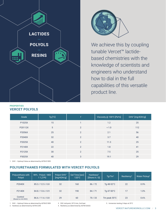

#### **PROPERTIES VERCET POLYOLS**



We achieve this by coupling tunable Vercet™ lactidebased chemistries with the knowledge of scientists and engineers who understand how to dial in the full capabilities of this versatile product line.

| Grade   | Tg [°C] |                | Viscosity @ 100°C [Pa*s] | OHV <sup>1</sup> [mg-KOH/g] |
|---------|---------|----------------|--------------------------|-----------------------------|
| P1025X  | 15      |                | 1.2                      | 25                          |
| P20112X | 5       | $\overline{2}$ | < 1.0                    | 112                         |
| P2056X  | 25      | $\overline{2}$ | 2.1                      | 56                          |
| P2040X  | 32      | $\overline{2}$ | 3.7                      | 40                          |
| P2025X  | 40      | $\overline{2}$ | 11.3                     | 25                          |
| P2140X  | 22      | $\overline{2}$ | 1.8                      | 41                          |
| P2125X  | 30      | $\overline{2}$ | 7.5                      | 25                          |
| P3025X  | 40      | 3              | 19.1                     | 29                          |

1. OHV – Hydroxyl Value as determined by ASTM E1899

#### **POLYURETHANES FORMULATED WITH VERCET POLYOLS**

| Polyurethane with<br>Polyol  | Wt% - Polyol / MDI<br>11,2 PG | Polyol OHV <sup>1</sup><br>$[mq-KOH/q]$ | Gel Time [sec]<br>$120^{\circ}$ C | Hardness <sup>2</sup><br>[Shore A / D] | Tq/Tm <sup>3</sup>           | Resiliency <sup>4</sup> | Water Pickup <sup>5</sup> |
|------------------------------|-------------------------------|-----------------------------------------|-----------------------------------|----------------------------------------|------------------------------|-------------------------|---------------------------|
| P2040X                       | 85.3 / 12.5 / 0.8             | 32                                      | 160                               | 86/72                                  | Tg 48-52°C                   | 22                      | 0.9%                      |
| P2140X                       | 84.8 / 13.6 / 0.9             | 32                                      | 190                               | 84/71                                  | Tg 47-50°C                   | 17                      | 1.0%                      |
| Control<br>(Based on AA-HDO) | 86.6 / 11.6 / 0.8             | 29                                      | 60                                | 70/33                                  | 23<br>Tm peak $55^{\circ}$ C |                         | 0.6%                      |

1. OHV – Hydroxyl Value as determined by ASTM E1899

2. Hardness as determined by ASTM 2240

3. DSC mid-point, 20°C/min, 2nd heat

4. Resiliency as determined by ASTM D2632

5. Immersion testing, 8 days at 25°C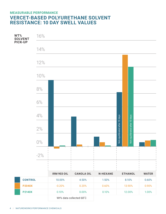#### **MEASURABLE PERFORMANCE VERCET-BASED POLYURETHANE SOLVENT RESISTANCE: 10 DAY SWELL VALUES**

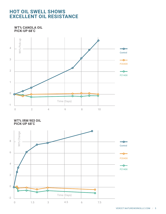#### **HOT OIL SWELL SHOWS EXCELLENT OIL RESISTANCE**

**WT% CANOLA OIL PICK-UP 68˚C**



**WT% IRM 903 OIL PICK-UP 68˚C**

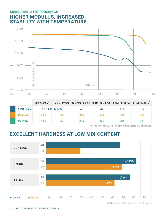#### **MEASURABLE PERFORMANCE HIGHER MODULUS, INCREASED STABILITY WITH TEMPERATURE**



|                |       |                  | Tg ( $^{\circ}$ C, DSC) Tg ( $^{\circ}$ C, DMA) E' (MPa, 30 $^{\circ}$ C) E' (MPa, 35 $^{\circ}$ C) E' (MPa, 45 $^{\circ}$ C) E' (MPa, 50 $^{\circ}$ C) |     |     |     |
|----------------|-------|------------------|---------------------------------------------------------------------------------------------------------------------------------------------------------|-----|-----|-----|
| <b>CONTROL</b> |       | 41-44 Tm (onset) | 24                                                                                                                                                      | 21  | 8.8 | 3.0 |
| <b>P2040X</b>  | 49-52 | 56               | 350                                                                                                                                                     | 331 | 321 | 315 |
| <b>P2140X</b>  | 47-50 | 52               | 300                                                                                                                                                     | 300 | 286 | 221 |

ASTM Method D790. 3 point bend fixture heated 3°C per minute.

## **EXCELLENT HARDNESS AT LOW MDI CONTENT**



ASTM Method 2240. Measured after 4 weeks.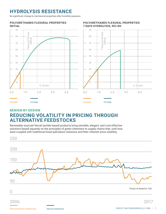### **HYDROLYSIS RESISTANCE**

No significant change to mechanical properties after humidity exposure.

#### **POLYURETHANES FLEXURAL PROPERTIES INITIAL**

Petrochemical Feedstocks Vercet Feedstock





#### **BENIGN BY DESIGN REDUCING VOLATILITY IN PRICING THROUGH ALTERNATIVE FEEDSTOCKS**

Renewably-sourced Vercet lactide-based products bring sensible, elegant, and cost-effective solutions based squarely on the principles of green chemistry to supply chains that, until now, were coupled with traditional fossil-petroleum solutions and their inherent price volatility.



#### **POLYURETHANES FLEXURAL PROPERTIES 7 DAYS HYDROLYSIS, 95% RH**